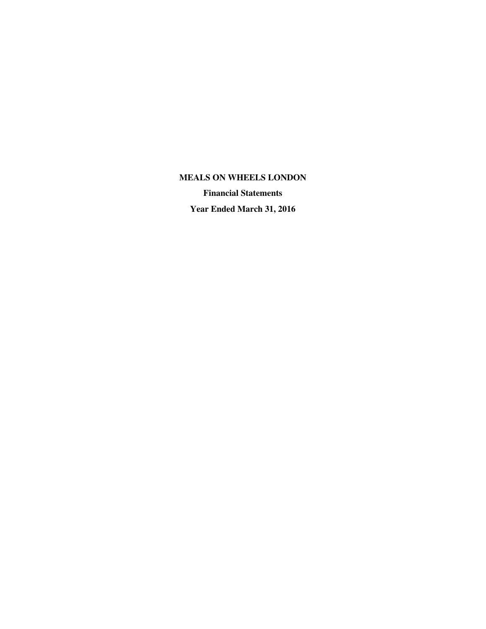# **MEALS ON WHEELS LONDON**

**Financial Statements**

**Year Ended March 31, 2016**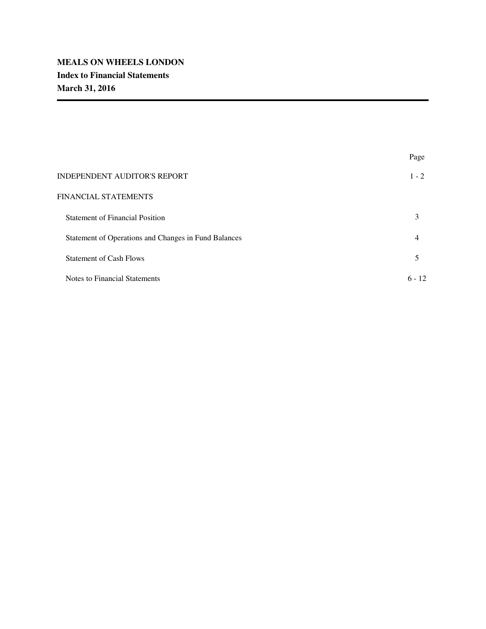j.

|                                                      | Page     |
|------------------------------------------------------|----------|
| INDEPENDENT AUDITOR'S REPORT                         | $1 - 2$  |
| FINANCIAL STATEMENTS                                 |          |
| <b>Statement of Financial Position</b>               | 3        |
| Statement of Operations and Changes in Fund Balances | 4        |
| <b>Statement of Cash Flows</b>                       | 5        |
| Notes to Financial Statements                        | $6 - 12$ |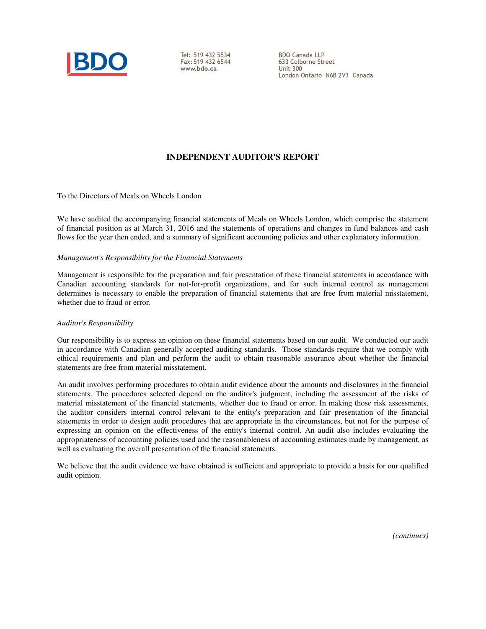

Tel: 519 432 5534 Fax: 519 432 6544 www.bdo.ca

**BDO Canada LLP** 633 Colborne Street **Unit 300** London Ontario N6B 2V3 Canada

# **INDEPENDENT AUDITOR'S REPORT**

To the Directors of Meals on Wheels London

We have audited the accompanying financial statements of Meals on Wheels London, which comprise the statement of financial position as at March 31, 2016 and the statements of operations and changes in fund balances and cash flows for the year then ended, and a summary of significant accounting policies and other explanatory information.

#### *Management's Responsibility for the Financial Statements*

Management is responsible for the preparation and fair presentation of these financial statements in accordance with Canadian accounting standards for not-for-profit organizations, and for such internal control as management determines is necessary to enable the preparation of financial statements that are free from material misstatement, whether due to fraud or error.

#### *Auditor's Responsibility*

Our responsibility is to express an opinion on these financial statements based on our audit. We conducted our audit in accordance with Canadian generally accepted auditing standards. Those standards require that we comply with ethical requirements and plan and perform the audit to obtain reasonable assurance about whether the financial statements are free from material misstatement.

An audit involves performing procedures to obtain audit evidence about the amounts and disclosures in the financial statements. The procedures selected depend on the auditor's judgment, including the assessment of the risks of material misstatement of the financial statements, whether due to fraud or error. In making those risk assessments, the auditor considers internal control relevant to the entity's preparation and fair presentation of the financial statements in order to design audit procedures that are appropriate in the circumstances, but not for the purpose of expressing an opinion on the effectiveness of the entity's internal control. An audit also includes evaluating the appropriateness of accounting policies used and the reasonableness of accounting estimates made by management, as well as evaluating the overall presentation of the financial statements.

We believe that the audit evidence we have obtained is sufficient and appropriate to provide a basis for our qualified audit opinion.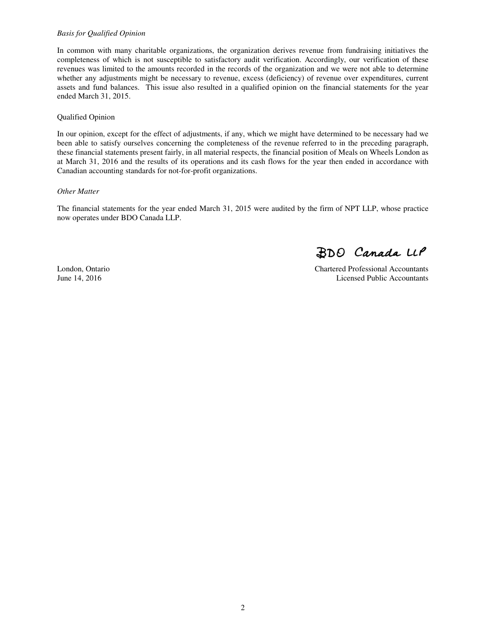#### *Basis for Qualified Opinion*

In common with many charitable organizations, the organization derives revenue from fundraising initiatives the completeness of which is not susceptible to satisfactory audit verification. Accordingly, our verification of these revenues was limited to the amounts recorded in the records of the organization and we were not able to determine whether any adjustments might be necessary to revenue, excess (deficiency) of revenue over expenditures, current assets and fund balances. This issue also resulted in a qualified opinion on the financial statements for the year ended March 31, 2015.

### Qualified Opinion

In our opinion, except for the effect of adjustments, if any, which we might have determined to be necessary had we been able to satisfy ourselves concerning the completeness of the revenue referred to in the preceding paragraph, these financial statements present fairly, in all material respects, the financial position of Meals on Wheels London as at March 31, 2016 and the results of its operations and its cash flows for the year then ended in accordance with Canadian accounting standards for not-for-profit organizations.

#### *Other Matter*

The financial statements for the year ended March 31, 2015 were audited by the firm of NPT LLP, whose practice now operates under BDO Canada LLP.

BDO Canada LLP

London, Ontario Chartered Professional Accountants<br>
June 14, 2016 Chartered Professional Accountants<br>
Chartered Professional Accountants Licensed Public Accountants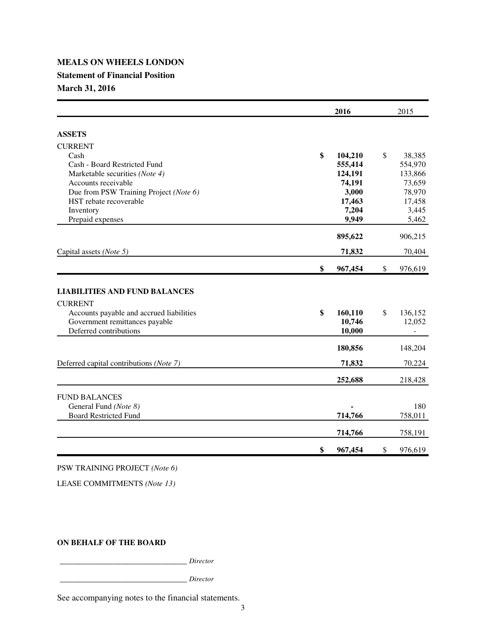# **MEALS ON WHEELS LONDON Statement of Financial Position March 31, 2016**

|                                                                                                                                                                | 2016 |                             |               | 2015              |
|----------------------------------------------------------------------------------------------------------------------------------------------------------------|------|-----------------------------|---------------|-------------------|
| <b>ASSETS</b>                                                                                                                                                  |      |                             |               |                   |
|                                                                                                                                                                |      |                             |               |                   |
| <b>CURRENT</b>                                                                                                                                                 |      |                             |               |                   |
| Cash                                                                                                                                                           | \$   | 104,210                     | \$            | 38,385            |
| Cash - Board Restricted Fund                                                                                                                                   |      | 555,414                     |               | 554,970           |
| Marketable securities (Note 4)                                                                                                                                 |      | 124,191                     |               | 133,866           |
| Accounts receivable                                                                                                                                            |      | 74,191                      |               | 73,659            |
| Due from PSW Training Project (Note 6)                                                                                                                         |      | 3,000                       |               | 78,970            |
| HST rebate recoverable                                                                                                                                         |      | 17,463                      |               | 17,458            |
| Inventory                                                                                                                                                      |      | 7,204                       |               | 3,445             |
| Prepaid expenses                                                                                                                                               |      | 9,949                       |               | 5,462             |
|                                                                                                                                                                |      | 895,622                     |               | 906,215           |
| Capital assets (Note 5)                                                                                                                                        |      | 71,832                      |               | 70,404            |
|                                                                                                                                                                | \$   | 967,454                     | \$            | 976,619           |
| <b>LIABILITIES AND FUND BALANCES</b><br><b>CURRENT</b><br>Accounts payable and accrued liabilities<br>Government remittances payable<br>Deferred contributions | \$   | 160,110<br>10,746<br>10,000 | $\mathcal{S}$ | 136,152<br>12,052 |
|                                                                                                                                                                |      | 180,856                     |               | 148,204           |
| Deferred capital contributions (Note 7)                                                                                                                        |      | 71,832                      |               | 70,224            |
|                                                                                                                                                                |      | 252,688                     |               | 218,428           |
| <b>FUND BALANCES</b>                                                                                                                                           |      |                             |               |                   |
| General Fund (Note 8)                                                                                                                                          |      |                             |               | 180               |
| <b>Board Restricted Fund</b>                                                                                                                                   |      | 714,766                     |               | 758,011           |
|                                                                                                                                                                |      | 714,766                     |               | 758,191           |
|                                                                                                                                                                | \$   | 967,454                     | \$            | 976,619           |

# PSW TRAINING PROJECT *(Note 6)*

LEASE COMMITMENTS *(Note 13)*

# **ON BEHALF OF THE BOARD**

\_\_\_\_\_\_\_\_\_\_\_\_\_\_\_\_\_\_\_\_\_\_\_\_\_\_\_\_\_ *Director*

\_\_\_\_\_\_\_\_\_\_\_\_\_\_\_\_\_\_\_\_\_\_\_\_\_\_\_\_\_ *Director*

See accompanying notes to the financial statements.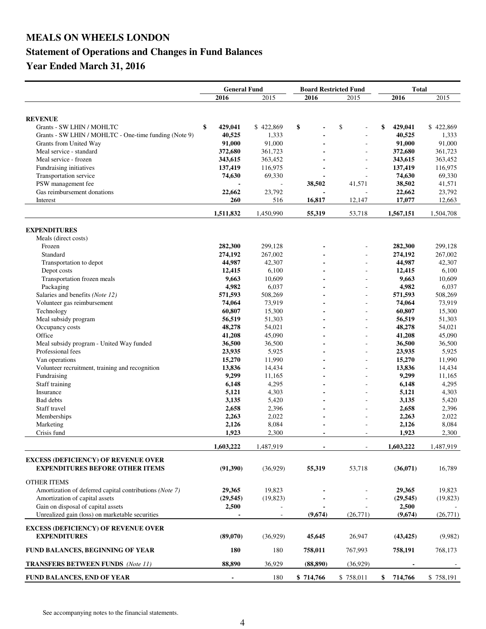# **MEALS ON WHEELS LONDON**

# **Statement of Operations and Changes in Fund Balances**

# **Year Ended March 31, 2016**

|                                                         | <b>General Fund</b> |                          | <b>Board Restricted Fund</b> |                |                          | <b>Total</b> |                  |                  |
|---------------------------------------------------------|---------------------|--------------------------|------------------------------|----------------|--------------------------|--------------|------------------|------------------|
|                                                         | 2016                | 2015                     |                              | 2016           | 2015                     |              | 2016             | 2015             |
|                                                         |                     |                          |                              |                |                          |              |                  |                  |
| <b>REVENUE</b>                                          |                     |                          |                              |                |                          |              |                  |                  |
| Grants - SW LHIN / MOHLTC                               | \$<br>429,041       | \$422,869                | \$                           |                | \$<br>÷,                 | \$           | 429,041          | \$422,869        |
| Grants - SW LHIN / MOHLTC - One-time funding (Note 9)   | 40,525              | 1,333                    |                              |                |                          |              | 40,525           | 1,333            |
| Grants from United Way                                  | 91,000              | 91,000                   |                              |                | $\overline{a}$           |              | 91,000           | 91,000           |
| Meal service - standard                                 | 372,680             | 361,723                  |                              |                | $\overline{\phantom{a}}$ |              | 372,680          | 361,723          |
| Meal service - frozen                                   | 343,615             | 363,452                  |                              |                | ÷,                       |              | 343,615          | 363,452          |
| Fundraising initiatives                                 | 137,419             | 116,975                  |                              |                | ÷,                       |              | 137,419          | 116,975          |
| Transportation service                                  | 74,630              | 69,330                   |                              |                |                          |              | 74,630           | 69,330           |
| PSW management fee<br>Gas reimbursement donations       | 22,662              | 23,792                   |                              | 38,502         | 41,571                   |              | 38,502           | 41,571<br>23,792 |
| Interest                                                | 260                 | 516                      |                              | 16,817         | 12,147                   |              | 22,662<br>17,077 | 12,663           |
|                                                         |                     |                          |                              |                |                          |              |                  |                  |
|                                                         | 1,511,832           | 1,450,990                |                              | 55,319         | 53,718                   |              | 1,567,151        | 1,504,708        |
| <b>EXPENDITURES</b>                                     |                     |                          |                              |                |                          |              |                  |                  |
| Meals (direct costs)                                    |                     |                          |                              |                |                          |              |                  |                  |
| Frozen                                                  | 282,300             | 299,128                  |                              |                |                          |              | 282,300          | 299,128          |
| Standard                                                | 274,192             | 267,002                  |                              |                | ÷,                       |              | 274,192          | 267,002          |
| Transportation to depot                                 | 44,987              | 42,307                   |                              |                | ÷,                       |              | 44,987           | 42,307           |
| Depot costs                                             | 12,415              | 6,100                    |                              |                | ÷,                       |              | 12,415           | 6,100            |
| Transportation frozen meals                             | 9,663               | 10,609                   |                              |                | ä,                       |              | 9,663            | 10,609           |
| Packaging                                               | 4,982               | 6,037                    |                              |                |                          |              | 4,982            | 6,037            |
| Salaries and benefits (Note 12)                         | 571,593             | 508,269                  |                              |                | ÷,                       |              | 571,593          | 508,269          |
| Volunteer gas reimbursement                             | 74,064              | 73,919                   |                              |                | $\overline{a}$           |              | 74,064           | 73,919           |
| Technology                                              | 60,807              | 15,300                   |                              |                | $\overline{\phantom{a}}$ |              | 60,807           | 15,300           |
| Meal subsidy program                                    | 56,519              | 51,303                   |                              |                | ÷,                       |              | 56,519           | 51,303           |
| Occupancy costs                                         | 48,278              | 54,021                   |                              |                | ÷,                       |              | 48,278           | 54,021           |
| Office                                                  | 41,208              | 45,090                   |                              |                | ÷,                       |              | 41,208           | 45,090           |
| Meal subsidy program - United Way funded                | 36,500              | 36,500                   |                              |                | $\overline{\phantom{a}}$ |              | 36,500           | 36,500           |
| Professional fees                                       | 23,935              | 5,925                    |                              | $\blacksquare$ | ÷,                       |              | 23,935           | 5,925            |
| Van operations                                          | 15,270              | 11,990                   |                              |                | ÷,                       |              | 15,270           | 11,990           |
| Volunteer recruitment, training and recognition         | 13,836              | 14,434                   |                              |                | ÷,                       |              | 13,836           | 14,434           |
| Fundraising                                             | 9,299               | 11,165                   |                              |                | ÷,                       |              | 9,299            | 11,165           |
| Staff training                                          | 6,148               | 4,295                    |                              |                | ÷,                       |              | 6,148            | 4,295            |
| Insurance<br>Bad debts                                  | 5,121<br>3,135      | 4,303                    |                              |                |                          |              | 5,121<br>3,135   | 4,303<br>5,420   |
| Staff travel                                            | 2,658               | 5,420<br>2,396           |                              |                |                          |              | 2,658            | 2,396            |
| Memberships                                             | 2,263               | 2,022                    |                              |                | ÷,                       |              | 2,263            | 2,022            |
| Marketing                                               | 2,126               | 8,084                    |                              |                | $\overline{a}$           |              | 2,126            | 8,084            |
| Crisis fund                                             | 1,923               | 2,300                    |                              | Ĭ.             | ÷,                       |              | 1,923            | 2,300            |
|                                                         | 1,603,222           | 1,487,919                |                              |                |                          |              | 1,603,222        | 1,487,919        |
| <b>EXCESS (DEFICIENCY) OF REVENUE OVER</b>              |                     |                          |                              |                |                          |              |                  |                  |
| <b>EXPENDITURES BEFORE OTHER ITEMS</b>                  | (91,390)            | (36,929)                 |                              | 55,319         | 53,718                   |              | (36,071)         | 16,789           |
| <b>OTHER ITEMS</b>                                      |                     |                          |                              |                |                          |              |                  |                  |
| Amortization of deferred capital contributions (Note 7) | 29,365              | 19,823                   |                              |                |                          |              | 29,365           | 19,823           |
| Amortization of capital assets                          | (29, 545)           | (19, 823)                |                              |                |                          |              | (29, 545)        | (19, 823)        |
| Gain on disposal of capital assets                      | 2,500               |                          |                              |                |                          |              | 2,500            |                  |
| Unrealized gain (loss) on marketable securities         |                     | $\overline{\phantom{a}}$ |                              | (9,674)        | (26,771)                 |              | (9,674)          | (26, 771)        |
| <b>EXCESS (DEFICIENCY) OF REVENUE OVER</b>              |                     |                          |                              |                |                          |              |                  |                  |
| <b>EXPENDITURES</b>                                     | (89,070)            | (36, 929)                |                              | 45,645         | 26,947                   |              | (43, 425)        | (9,982)          |
| FUND BALANCES, BEGINNING OF YEAR                        | <b>180</b>          | 180                      |                              | 758,011        | 767,993                  |              | 758,191          | 768,173          |
| <b>TRANSFERS BETWEEN FUNDS (Note 11)</b>                | 88,890              | 36,929                   |                              | (88, 890)      | (36,929)                 |              |                  |                  |
| <b>FUND BALANCES, END OF YEAR</b>                       |                     | 180                      |                              | \$714,766      | \$758,011                | \$           | 714,766          | \$758,191        |

See accompanying notes to the financial statements.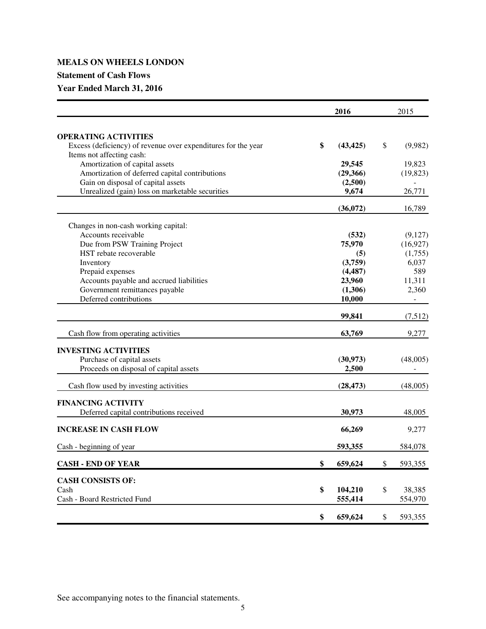# **MEALS ON WHEELS LONDON**

# **Statement of Cash Flows**

**Year Ended March 31, 2016**

|                                                                                            | 2016            | 2015          |
|--------------------------------------------------------------------------------------------|-----------------|---------------|
|                                                                                            |                 |               |
| <b>OPERATING ACTIVITIES</b>                                                                |                 |               |
| Excess (deficiency) of revenue over expenditures for the year<br>Items not affecting cash: | \$<br>(43, 425) | \$<br>(9,982) |
| Amortization of capital assets                                                             | 29,545          | 19,823        |
| Amortization of deferred capital contributions                                             | (29,366)        | (19, 823)     |
|                                                                                            |                 |               |
| Gain on disposal of capital assets                                                         | (2,500)         |               |
| Unrealized (gain) loss on marketable securities                                            | 9,674           | 26,771        |
|                                                                                            | (36,072)        | 16,789        |
| Changes in non-cash working capital:                                                       |                 |               |
| Accounts receivable                                                                        | (532)           | (9,127)       |
| Due from PSW Training Project                                                              | 75,970          | (16, 927)     |
| HST rebate recoverable                                                                     | (5)             | (1,755)       |
| Inventory                                                                                  | (3,759)         | 6,037         |
|                                                                                            | (4, 487)        | 589           |
| Prepaid expenses                                                                           |                 |               |
| Accounts payable and accrued liabilities                                                   | 23,960          | 11,311        |
| Government remittances payable                                                             | (1,306)         | 2,360         |
| Deferred contributions                                                                     | 10,000          |               |
|                                                                                            | 99,841          | (7,512)       |
| Cash flow from operating activities                                                        | 63,769          | 9,277         |
| <b>INVESTING ACTIVITIES</b>                                                                |                 |               |
| Purchase of capital assets                                                                 | (30, 973)       | (48,005)      |
| Proceeds on disposal of capital assets                                                     | 2,500           |               |
|                                                                                            |                 |               |
| Cash flow used by investing activities                                                     | (28, 473)       | (48,005)      |
| <b>FINANCING ACTIVITY</b>                                                                  |                 |               |
| Deferred capital contributions received                                                    | 30,973          | 48,005        |
| <b>INCREASE IN CASH FLOW</b>                                                               | 66,269          | 9,277         |
| Cash - beginning of year                                                                   | 593,355         | 584,078       |
| <b>CASH - END OF YEAR</b>                                                                  | \$<br>659,624   | \$<br>593,355 |
|                                                                                            |                 |               |
| <b>CASH CONSISTS OF:</b>                                                                   |                 |               |
| Cash                                                                                       | \$<br>104,210   | \$<br>38,385  |
| Cash - Board Restricted Fund                                                               | 555,414         | 554,970       |
|                                                                                            | \$<br>659,624   | \$<br>593,355 |

See accompanying notes to the financial statements.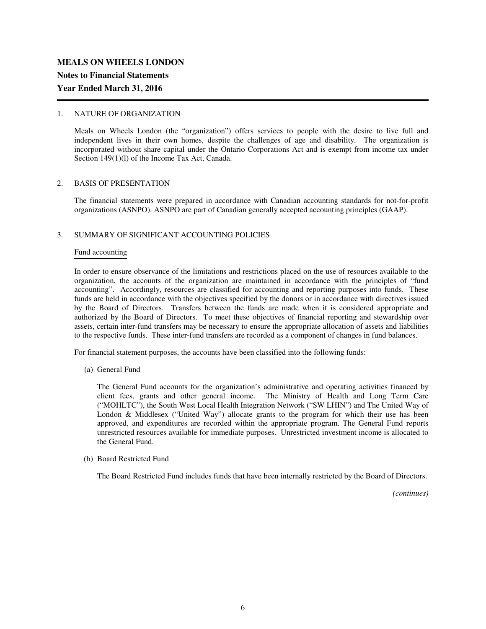# **MEALS ON WHEELS LONDON Notes to Financial Statements Year Ended March 31, 2016**

### 1. NATURE OF ORGANIZATION

Meals on Wheels London (the "organization") offers services to people with the desire to live full and independent lives in their own homes, despite the challenges of age and disability. The organization is incorporated without share capital under the Ontario Corporations Act and is exempt from income tax under Section 149(1)(l) of the Income Tax Act, Canada.

# 2. BASIS OF PRESENTATION

The financial statements were prepared in accordance with Canadian accounting standards for not-for-profit organizations (ASNPO). ASNPO are part of Canadian generally accepted accounting principles (GAAP).

## 3. SUMMARY OF SIGNIFICANT ACCOUNTING POLICIES

## Fund accounting

In order to ensure observance of the limitations and restrictions placed on the use of resources available to the organization, the accounts of the organization are maintained in accordance with the principles of "fund accounting". Accordingly, resources are classified for accounting and reporting purposes into funds. These funds are held in accordance with the objectives specified by the donors or in accordance with directives issued by the Board of Directors. Transfers between the funds are made when it is considered appropriate and authorized by the Board of Directors. To meet these objectives of financial reporting and stewardship over assets, certain inter-fund transfers may be necessary to ensure the appropriate allocation of assets and liabilities to the respective funds. These inter-fund transfers are recorded as a component of changes in fund balances.

For financial statement purposes, the accounts have been classified into the following funds:

(a) General Fund

 The General Fund accounts for the organization's administrative and operating activities financed by client fees, grants and other general income. The Ministry of Health and Long Term Care ("MOHLTC"), the South West Local Health Integration Network ("SW LHIN") and The United Way of London & Middlesex ("United Way") allocate grants to the program for which their use has been approved, and expenditures are recorded within the appropriate program. The General Fund reports unrestricted resources available for immediate purposes. Unrestricted investment income is allocated to the General Fund.

(b) Board Restricted Fund

The Board Restricted Fund includes funds that have been internally restricted by the Board of Directors.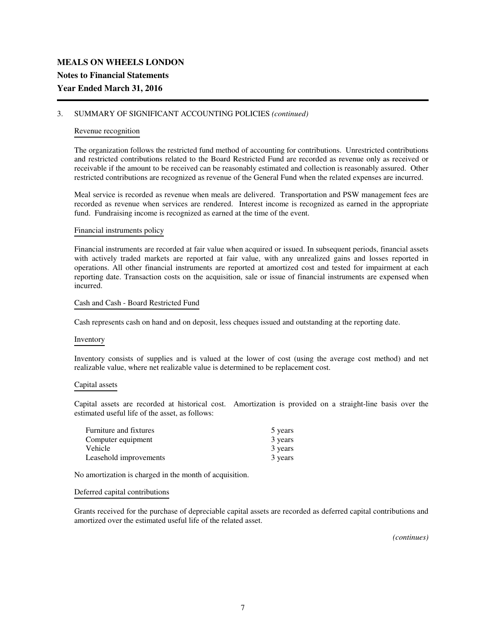## 3. SUMMARY OF SIGNIFICANT ACCOUNTING POLICIES *(continued)*

#### Revenue recognition

The organization follows the restricted fund method of accounting for contributions. Unrestricted contributions and restricted contributions related to the Board Restricted Fund are recorded as revenue only as received or receivable if the amount to be received can be reasonably estimated and collection is reasonably assured. Other restricted contributions are recognized as revenue of the General Fund when the related expenses are incurred.

Meal service is recorded as revenue when meals are delivered. Transportation and PSW management fees are recorded as revenue when services are rendered. Interest income is recognized as earned in the appropriate fund. Fundraising income is recognized as earned at the time of the event.

#### Financial instruments policy

Financial instruments are recorded at fair value when acquired or issued. In subsequent periods, financial assets with actively traded markets are reported at fair value, with any unrealized gains and losses reported in operations. All other financial instruments are reported at amortized cost and tested for impairment at each reporting date. Transaction costs on the acquisition, sale or issue of financial instruments are expensed when incurred.

#### Cash and Cash - Board Restricted Fund

Cash represents cash on hand and on deposit, less cheques issued and outstanding at the reporting date.

#### Inventory

Inventory consists of supplies and is valued at the lower of cost (using the average cost method) and net realizable value, where net realizable value is determined to be replacement cost.

#### Capital assets

Capital assets are recorded at historical cost. Amortization is provided on a straight-line basis over the estimated useful life of the asset, as follows:

| Furniture and fixtures | 5 years |
|------------------------|---------|
| Computer equipment     | 3 years |
| Vehicle                | 3 years |
| Leasehold improvements | 3 years |

No amortization is charged in the month of acquisition.

#### Deferred capital contributions

Grants received for the purchase of depreciable capital assets are recorded as deferred capital contributions and amortized over the estimated useful life of the related asset.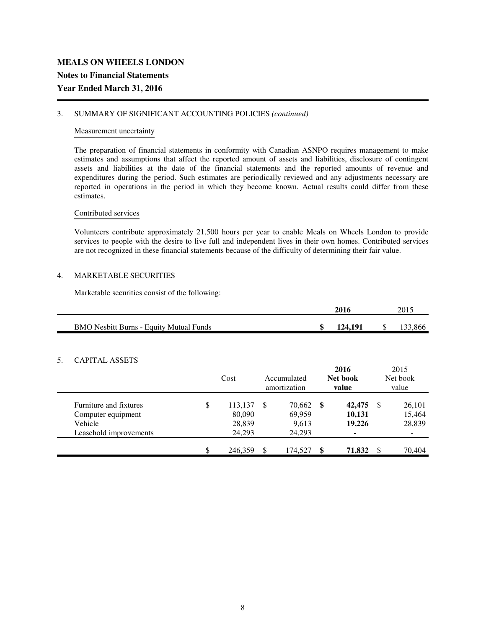## 3. SUMMARY OF SIGNIFICANT ACCOUNTING POLICIES *(continued)*

# Measurement uncertainty

The preparation of financial statements in conformity with Canadian ASNPO requires management to make estimates and assumptions that affect the reported amount of assets and liabilities, disclosure of contingent assets and liabilities at the date of the financial statements and the reported amounts of revenue and expenditures during the period. Such estimates are periodically reviewed and any adjustments necessary are reported in operations in the period in which they become known. Actual results could differ from these estimates.

#### Contributed services

Volunteers contribute approximately 21,500 hours per year to enable Meals on Wheels London to provide services to people with the desire to live full and independent lives in their own homes. Contributed services are not recognized in these financial statements because of the difficulty of determining their fair value.

# 4. MARKETABLE SECURITIES

Marketable securities consist of the following:

|                                                | 2016    | 201: |
|------------------------------------------------|---------|------|
|                                                |         |      |
| <b>BMO Nesbitt Burns - Equity Mutual Funds</b> | 124.191 | .866 |

#### 5. CAPITAL ASSETS

|                        | Cost          |    | Accumulated<br>amortization |      | 2016<br>Net book<br>value |   | 2015<br>Net book<br>value |
|------------------------|---------------|----|-----------------------------|------|---------------------------|---|---------------------------|
| Furniture and fixtures | \$<br>113.137 | -S | 70,662                      | - \$ | 42,475                    | S | 26,101                    |
| Computer equipment     | 80,090        |    | 69,959                      |      | 10,131                    |   | 15,464                    |
| Vehicle                | 28,839        |    | 9,613                       |      | 19,226                    |   | 28,839                    |
| Leasehold improvements | 24,293        |    | 24,293                      |      | $\blacksquare$            |   |                           |
|                        | \$<br>246,359 |    | 174.527                     |      | 71,832                    |   | 70,404                    |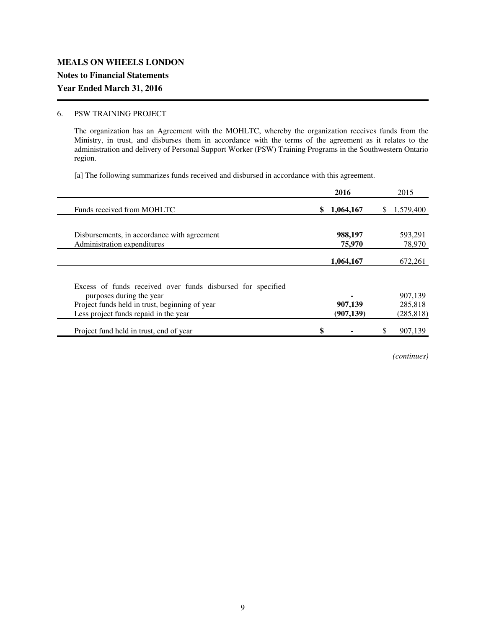# 6. PSW TRAINING PROJECT

The organization has an Agreement with the MOHLTC, whereby the organization receives funds from the Ministry, in trust, and disburses them in accordance with the terms of the agreement as it relates to the administration and delivery of Personal Support Worker (PSW) Training Programs in the Southwestern Ontario region.

[a] The following summarizes funds received and disbursed in accordance with this agreement.

|                                                             |    | 2016       |    | 2015       |
|-------------------------------------------------------------|----|------------|----|------------|
| Funds received from MOHLTC                                  | S. | 1,064,167  | S. | 1,579,400  |
|                                                             |    |            |    |            |
| Disbursements, in accordance with agreement                 |    | 988,197    |    | 593,291    |
| Administration expenditures                                 |    | 75,970     |    | 78,970     |
|                                                             |    |            |    |            |
|                                                             |    | 1,064,167  |    | 672,261    |
|                                                             |    |            |    |            |
| Excess of funds received over funds disbursed for specified |    |            |    |            |
| purposes during the year                                    |    |            |    | 907,139    |
| Project funds held in trust, beginning of year              |    | 907,139    |    | 285,818    |
| Less project funds repaid in the year                       |    | (907, 139) |    | (285, 818) |
|                                                             |    |            |    |            |
| Project fund held in trust, end of year                     |    |            | S  | 907,139    |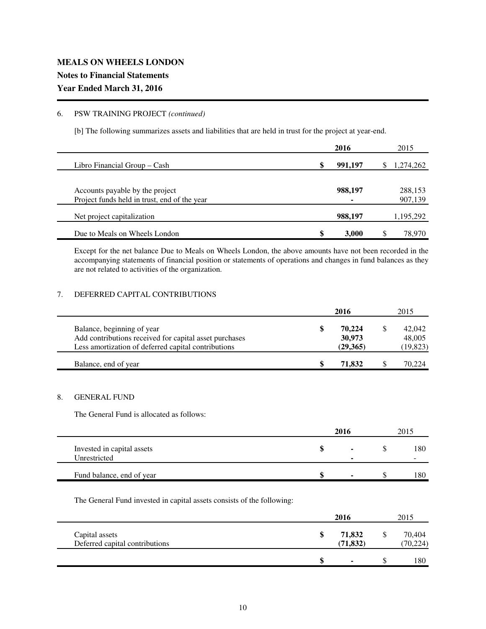# 6. PSW TRAINING PROJECT *(continued)*

[b] The following summarizes assets and liabilities that are held in trust for the project at year-end.

|                                                                                 |    | 2016         |    | 2015               |
|---------------------------------------------------------------------------------|----|--------------|----|--------------------|
| Libro Financial Group – Cash                                                    | Я  | 991,197      | S. | 1,274,262          |
| Accounts payable by the project<br>Project funds held in trust, end of the year |    | 988,197<br>۰ |    | 288,153<br>907,139 |
| Net project capitalization                                                      |    | 988,197      |    | 1,195,292          |
| Due to Meals on Wheels London                                                   | \$ | 3.000        | \$ | 78.970             |

Except for the net balance Due to Meals on Wheels London, the above amounts have not been recorded in the accompanying statements of financial position or statements of operations and changes in fund balances as they are not related to activities of the organization.

# 7. DEFERRED CAPITAL CONTRIBUTIONS

|                                                                                                                                             | 2016 |                              |  | 2015                         |  |  |
|---------------------------------------------------------------------------------------------------------------------------------------------|------|------------------------------|--|------------------------------|--|--|
| Balance, beginning of year<br>Add contributions received for capital asset purchases<br>Less amortization of deferred capital contributions |      | 70,224<br>30,973<br>(29,365) |  | 42,042<br>48,005<br>(19,823) |  |  |
| Balance, end of year                                                                                                                        |      | 71.832                       |  | 70.224                       |  |  |

# 8. GENERAL FUND

The General Fund is allocated as follows:

|                                            | 2016   | 2015 |  |  |
|--------------------------------------------|--------|------|--|--|
| Invested in capital assets<br>Unrestricted | ۰<br>۰ | 180  |  |  |
| Fund balance, end of year                  | ۰      | 180  |  |  |

The General Fund invested in capital assets consists of the following:

|                                                  | 2016                | 2015 |                     |  |
|--------------------------------------------------|---------------------|------|---------------------|--|
| Capital assets<br>Deferred capital contributions | 71,832<br>(71, 832) |      | 70,404<br>(70, 224) |  |
|                                                  | ۰                   |      | 180                 |  |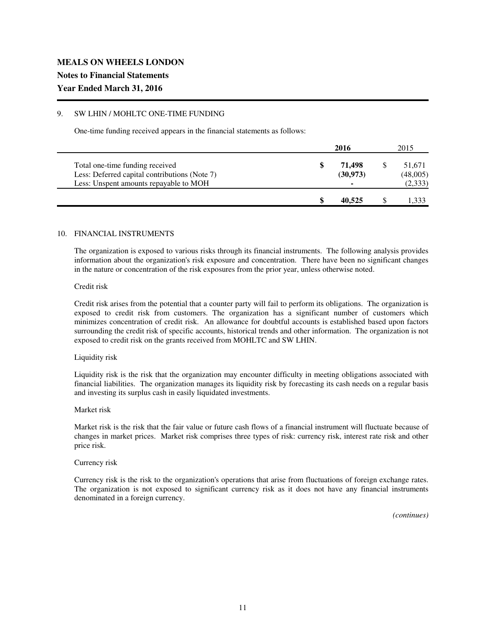# 9. SW LHIN / MOHLTC ONE-TIME FUNDING

One-time funding received appears in the financial statements as follows:

|                                                                                                                            | 2016                |  | 2015                           |  |
|----------------------------------------------------------------------------------------------------------------------------|---------------------|--|--------------------------------|--|
| Total one-time funding received<br>Less: Deferred capital contributions (Note 7)<br>Less: Unspent amounts repayable to MOH | 71.498<br>(30, 973) |  | 51,671<br>(48,005)<br>(2, 333) |  |
|                                                                                                                            | 40.525              |  | 1,333                          |  |

### 10. FINANCIAL INSTRUMENTS

The organization is exposed to various risks through its financial instruments. The following analysis provides information about the organization's risk exposure and concentration. There have been no significant changes in the nature or concentration of the risk exposures from the prior year, unless otherwise noted.

#### Credit risk

Credit risk arises from the potential that a counter party will fail to perform its obligations. The organization is exposed to credit risk from customers. The organization has a significant number of customers which minimizes concentration of credit risk. An allowance for doubtful accounts is established based upon factors surrounding the credit risk of specific accounts, historical trends and other information. The organization is not exposed to credit risk on the grants received from MOHLTC and SW LHIN.

#### Liquidity risk

Liquidity risk is the risk that the organization may encounter difficulty in meeting obligations associated with financial liabilities. The organization manages its liquidity risk by forecasting its cash needs on a regular basis and investing its surplus cash in easily liquidated investments.

#### Market risk

Market risk is the risk that the fair value or future cash flows of a financial instrument will fluctuate because of changes in market prices. Market risk comprises three types of risk: currency risk, interest rate risk and other price risk.

#### Currency risk

Currency risk is the risk to the organization's operations that arise from fluctuations of foreign exchange rates. The organization is not exposed to significant currency risk as it does not have any financial instruments denominated in a foreign currency.